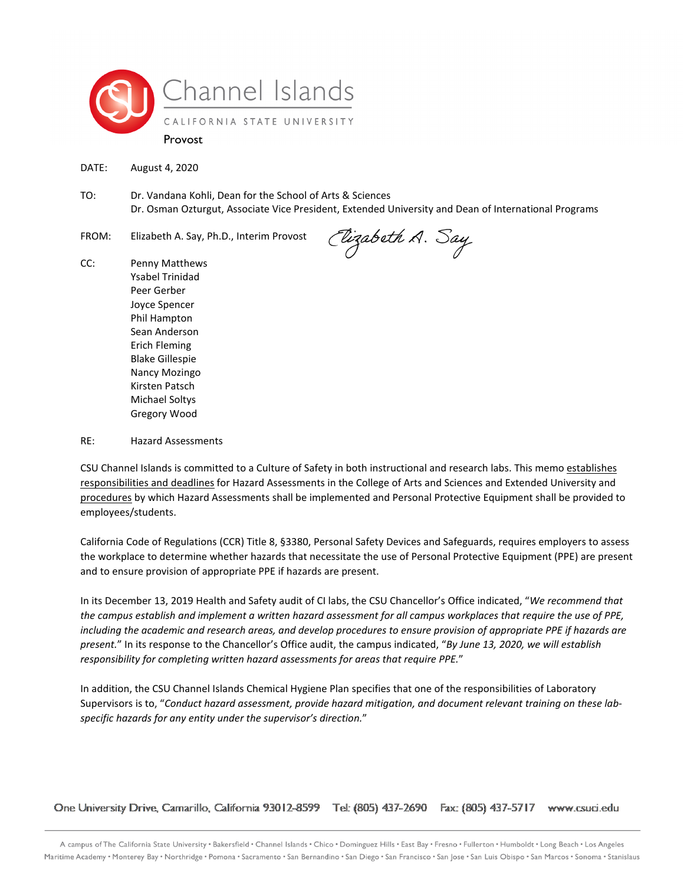

DATE: August 4, 2020

- TO: Dr. Vandana Kohli, Dean for the School of Arts & Sciences Dr. Osman Ozturgut, Associate Vice President, Extended University and Dean of International Programs
- FROM: Elizabeth A. Say, Ph.D., Interim Provost

(Uizabeth A. Say

CC: Penny Matthews Ysabel Trinidad Peer Gerber Joyce Spencer Phil Hampton Sean Anderson Erich Fleming Blake Gillespie Nancy Mozingo Kirsten Patsch Michael Soltys Gregory Wood

RE: Hazard Assessments

CSU Channel Islands is committed to a Culture of Safety in both instructional and research labs. This memo establishes responsibilities and deadlines for Hazard Assessments in the College of Arts and Sciences and Extended University and procedures by which Hazard Assessments shall be implemented and Personal Protective Equipment shall be provided to employees/students.

California Code of Regulations (CCR) Title 8, §3380, Personal Safety Devices and Safeguards, requires employers to assess the workplace to determine whether hazards that necessitate the use of Personal Protective Equipment (PPE) are present and to ensure provision of appropriate PPE if hazards are present.

In its December 13, 2019 Health and Safety audit of CI labs, the CSU Chancellor's Office indicated, "*We recommend that the campus establish and implement a written hazard assessment for all campus workplaces that require the use of PPE, including the academic and research areas, and develop procedures to ensure provision of appropriate PPE if hazards are present.*" In its response to the Chancellor's Office audit, the campus indicated, "*By June 13, 2020, we will establish responsibility for completing written hazard assessments for areas that require PPE.*"

In addition, the CSU Channel Islands Chemical Hygiene Plan specifies that one of the responsibilities of Laboratory Supervisors is to, "*Conduct hazard assessment, provide hazard mitigation, and document relevant training on these labspecific hazards for any entity under the supervisor's direction.*"

One University Drive, Camarillo, California 93012-8599 Tel: (805) 437-2690 Fax: (805) 437-5717 www.csuci.edu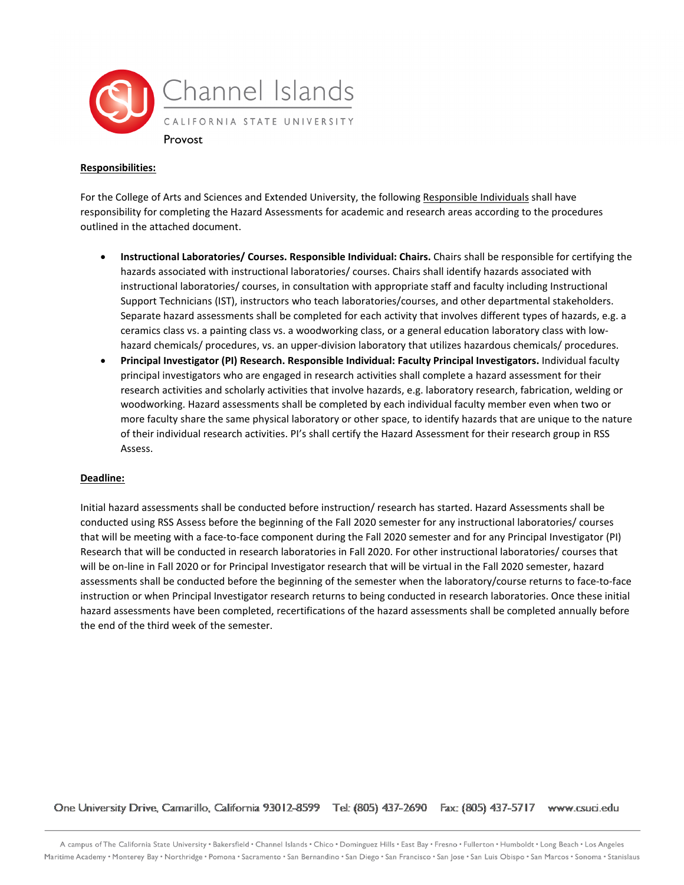

### **Responsibilities:**

For the College of Arts and Sciences and Extended University, the following Responsible Individuals shall have responsibility for completing the Hazard Assessments for academic and research areas according to the procedures outlined in the attached document.

- **Instructional Laboratories/ Courses. Responsible Individual: Chairs.** Chairs shall be responsible for certifying the hazards associated with instructional laboratories/ courses. Chairs shall identify hazards associated with instructional laboratories/ courses, in consultation with appropriate staff and faculty including Instructional Support Technicians (IST), instructors who teach laboratories/courses, and other departmental stakeholders. Separate hazard assessments shall be completed for each activity that involves different types of hazards, e.g. a ceramics class vs. a painting class vs. a woodworking class, or a general education laboratory class with lowhazard chemicals/ procedures, vs. an upper-division laboratory that utilizes hazardous chemicals/ procedures.
- **Principal Investigator (PI) Research. Responsible Individual: Faculty Principal Investigators.** Individual faculty principal investigators who are engaged in research activities shall complete a hazard assessment for their research activities and scholarly activities that involve hazards, e.g. laboratory research, fabrication, welding or woodworking. Hazard assessments shall be completed by each individual faculty member even when two or more faculty share the same physical laboratory or other space, to identify hazards that are unique to the nature of their individual research activities. PI's shall certify the Hazard Assessment for their research group in RSS Assess.

### **Deadline:**

Initial hazard assessments shall be conducted before instruction/ research has started. Hazard Assessments shall be conducted using RSS Assess before the beginning of the Fall 2020 semester for any instructional laboratories/ courses that will be meeting with a face-to-face component during the Fall 2020 semester and for any Principal Investigator (PI) Research that will be conducted in research laboratories in Fall 2020. For other instructional laboratories/ courses that will be on-line in Fall 2020 or for Principal Investigator research that will be virtual in the Fall 2020 semester, hazard assessments shall be conducted before the beginning of the semester when the laboratory/course returns to face-to-face instruction or when Principal Investigator research returns to being conducted in research laboratories. Once these initial hazard assessments have been completed, recertifications of the hazard assessments shall be completed annually before the end of the third week of the semester.

One University Drive, Camarillo, California 93012-8599 Tel: (805) 437-2690 Fax: (805) 437-5717 www.csuci.edu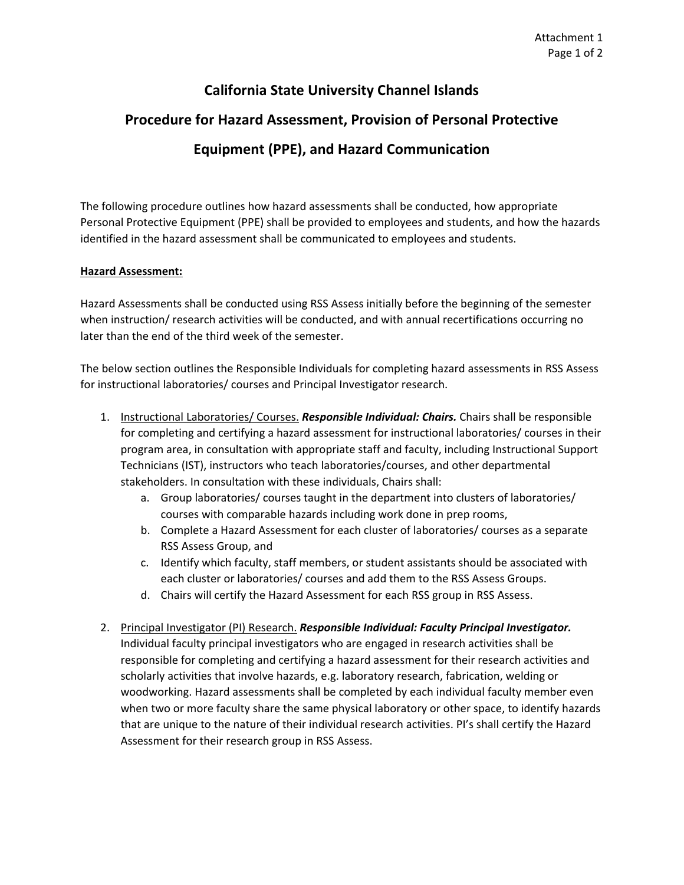## **California State University Channel Islands**

# **Procedure for Hazard Assessment, Provision of Personal Protective Equipment (PPE), and Hazard Communication**

The following procedure outlines how hazard assessments shall be conducted, how appropriate Personal Protective Equipment (PPE) shall be provided to employees and students, and how the hazards identified in the hazard assessment shall be communicated to employees and students.

### **Hazard Assessment:**

Hazard Assessments shall be conducted using RSS Assess initially before the beginning of the semester when instruction/ research activities will be conducted, and with annual recertifications occurring no later than the end of the third week of the semester.

The below section outlines the Responsible Individuals for completing hazard assessments in RSS Assess for instructional laboratories/ courses and Principal Investigator research.

- 1. Instructional Laboratories/ Courses. *Responsible Individual: Chairs.* Chairs shall be responsible for completing and certifying a hazard assessment for instructional laboratories/ courses in their program area, in consultation with appropriate staff and faculty, including Instructional Support Technicians (IST), instructors who teach laboratories/courses, and other departmental stakeholders. In consultation with these individuals, Chairs shall:
	- a. Group laboratories/ courses taught in the department into clusters of laboratories/ courses with comparable hazards including work done in prep rooms,
	- b. Complete a Hazard Assessment for each cluster of laboratories/ courses as a separate RSS Assess Group, and
	- c. Identify which faculty, staff members, or student assistants should be associated with each cluster or laboratories/ courses and add them to the RSS Assess Groups.
	- d. Chairs will certify the Hazard Assessment for each RSS group in RSS Assess.
- 2. Principal Investigator (PI) Research. *Responsible Individual: Faculty Principal Investigator.* Individual faculty principal investigators who are engaged in research activities shall be responsible for completing and certifying a hazard assessment for their research activities and scholarly activities that involve hazards, e.g. laboratory research, fabrication, welding or woodworking. Hazard assessments shall be completed by each individual faculty member even when two or more faculty share the same physical laboratory or other space, to identify hazards that are unique to the nature of their individual research activities. PI's shall certify the Hazard Assessment for their research group in RSS Assess.